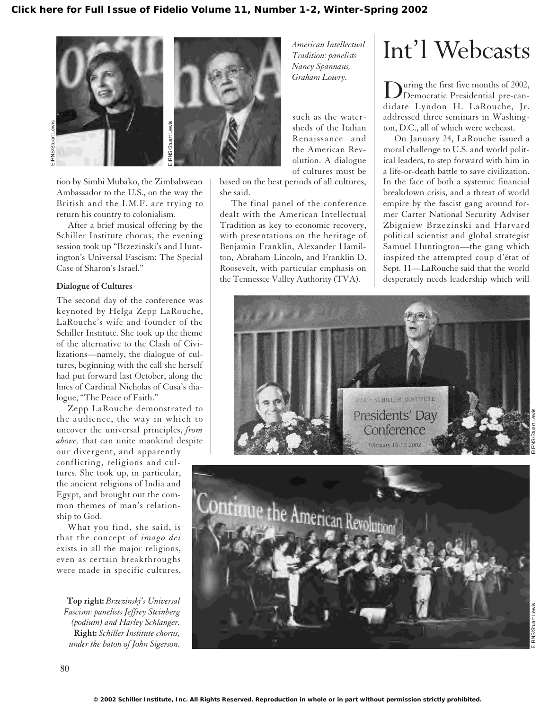

tion by Simbi Mubako, the Zimbabwean Ambassador to the U.S., on the way the British and the I.M.F. are trying to return his country to colonialism.

After a brief musical offering by the Schiller Institute chorus, the evening session took up "Brzezinski's and Huntington's Universal Fascism: The Special Case of Sharon's Israel."

### **Dialogue of Cultures**

The second day of the conference was keynoted by Helga Zepp LaRouche, LaRouche's wife and founder of the Schiller Institute. She took up the theme of the alternative to the Clash of Civilizations—namely, the dialogue of cultures, beginning with the call she herself had put forward last October, along the lines of Cardinal Nicholas of Cusa's dialogue, "The Peace of Faith."

Zepp LaRouche demonstrated to the audience, the way in which to uncover the universal principles, *from above,* that can unite mankind despite our divergent, and apparently

conflicting, religions and cultures. She took up, in particular, the ancient religions of India and Egypt, and brought out the common themes of man's relationship to God.

What you find, she said, is that the concept of *imago dei* exists in all the major religions, even as certain breakthroughs were made in specific cultures,

**Top right:** *Brzezinski's Universal Fascism: panelists Jeffrey Steinberg (podium) and Harley Schlanger.* **Right:** *Schiller Institute chorus,*

*Tradition: panelists Nancy Spannaus, Graham Lowry.*

such as the watersheds of the Italian Renaissance and the American Revolution. A dialogue of cultures must be

based on the best periods of all cultures, she said.

The final panel of the conference dealt with the American Intellectual Tradition as key to economic recovery, with presentations on the heritage of Benjamin Franklin, Alexander Hamilton, Abraham Lincoln, and Franklin D. Roosevelt, with particular emphasis on the Tennessee Valley Authority (TVA).

## Int'l Webcasts *American Intellectual*

During the first five months of 2002,<br>Democratic Presidential pre-candidate Lyndon H. LaRouche, Jr. addressed three seminars in Washington, D.C., all of which were webcast.

On January 24, LaRouche issued a moral challenge to U.S. and world political leaders, to step forward with him in a life-or-death battle to save civilization. In the face of both a systemic financial breakdown crisis, and a threat of world empire by the fascist gang around former Carter National Security Adviser Zbigniew Brzezinski and Harvard political scientist and global strategist Samuel Huntington—the gang which inspired the attempted coup d'état of Sept. 11—LaRouche said that the world desperately needs leadership which will